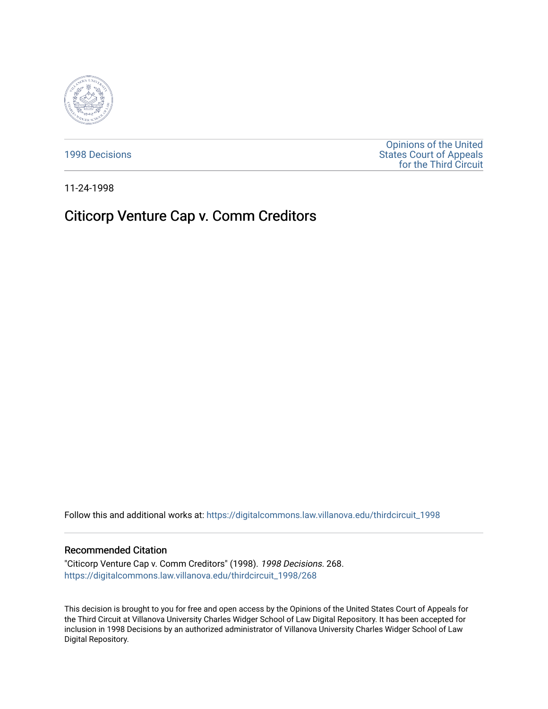

[1998 Decisions](https://digitalcommons.law.villanova.edu/thirdcircuit_1998)

[Opinions of the United](https://digitalcommons.law.villanova.edu/thirdcircuit)  [States Court of Appeals](https://digitalcommons.law.villanova.edu/thirdcircuit)  [for the Third Circuit](https://digitalcommons.law.villanova.edu/thirdcircuit) 

11-24-1998

# Citicorp Venture Cap v. Comm Creditors

Follow this and additional works at: [https://digitalcommons.law.villanova.edu/thirdcircuit\\_1998](https://digitalcommons.law.villanova.edu/thirdcircuit_1998?utm_source=digitalcommons.law.villanova.edu%2Fthirdcircuit_1998%2F268&utm_medium=PDF&utm_campaign=PDFCoverPages) 

# Recommended Citation

"Citicorp Venture Cap v. Comm Creditors" (1998). 1998 Decisions. 268. [https://digitalcommons.law.villanova.edu/thirdcircuit\\_1998/268](https://digitalcommons.law.villanova.edu/thirdcircuit_1998/268?utm_source=digitalcommons.law.villanova.edu%2Fthirdcircuit_1998%2F268&utm_medium=PDF&utm_campaign=PDFCoverPages)

This decision is brought to you for free and open access by the Opinions of the United States Court of Appeals for the Third Circuit at Villanova University Charles Widger School of Law Digital Repository. It has been accepted for inclusion in 1998 Decisions by an authorized administrator of Villanova University Charles Widger School of Law Digital Repository.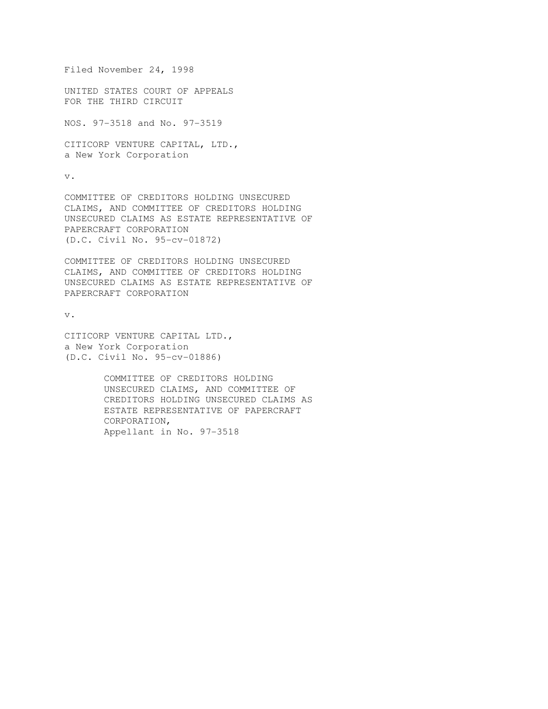Filed November 24, 1998 UNITED STATES COURT OF APPEALS FOR THE THIRD CIRCUIT

NOS. 97-3518 and No. 97-3519

CITICORP VENTURE CAPITAL, LTD., a New York Corporation

v.

COMMITTEE OF CREDITORS HOLDING UNSECURED CLAIMS, AND COMMITTEE OF CREDITORS HOLDING UNSECURED CLAIMS AS ESTATE REPRESENTATIVE OF PAPERCRAFT CORPORATION (D.C. Civil No. 95-cv-01872)

COMMITTEE OF CREDITORS HOLDING UNSECURED CLAIMS, AND COMMITTEE OF CREDITORS HOLDING UNSECURED CLAIMS AS ESTATE REPRESENTATIVE OF PAPERCRAFT CORPORATION

v.

CITICORP VENTURE CAPITAL LTD., a New York Corporation (D.C. Civil No. 95-cv-01886)

> COMMITTEE OF CREDITORS HOLDING UNSECURED CLAIMS, AND COMMITTEE OF CREDITORS HOLDING UNSECURED CLAIMS AS ESTATE REPRESENTATIVE OF PAPERCRAFT CORPORATION, Appellant in No. 97-3518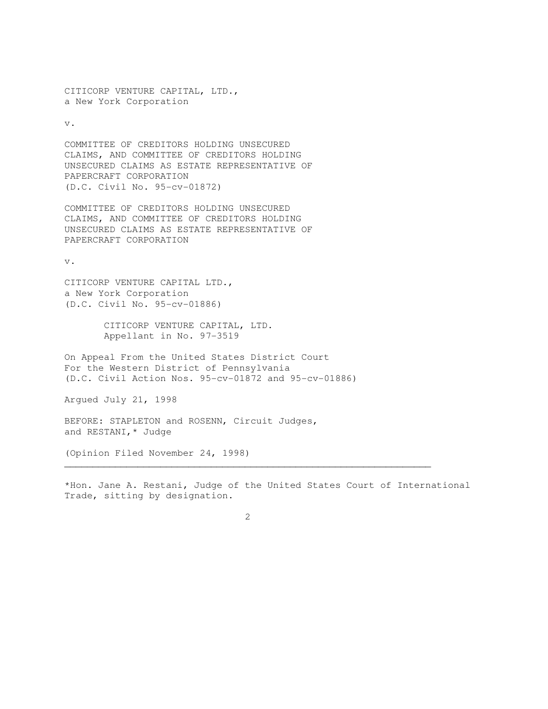CITICORP VENTURE CAPITAL, LTD., a New York Corporation

v.

COMMITTEE OF CREDITORS HOLDING UNSECURED CLAIMS, AND COMMITTEE OF CREDITORS HOLDING UNSECURED CLAIMS AS ESTATE REPRESENTATIVE OF PAPERCRAFT CORPORATION (D.C. Civil No. 95-cv-01872)

COMMITTEE OF CREDITORS HOLDING UNSECURED CLAIMS, AND COMMITTEE OF CREDITORS HOLDING UNSECURED CLAIMS AS ESTATE REPRESENTATIVE OF PAPERCRAFT CORPORATION

v.

CITICORP VENTURE CAPITAL LTD., a New York Corporation (D.C. Civil No. 95-cv-01886)

> CITICORP VENTURE CAPITAL, LTD. Appellant in No. 97-3519

On Appeal From the United States District Court For the Western District of Pennsylvania (D.C. Civil Action Nos. 95-cv-01872 and 95-cv-01886)

Argued July 21, 1998

BEFORE: STAPLETON and ROSENN, Circuit Judges, and RESTANI,\* Judge

(Opinion Filed November 24, 1998)

\*Hon. Jane A. Restani, Judge of the United States Court of International Trade, sitting by designation.

 $\mathcal{L}_\mathcal{L}$  , and the set of the set of the set of the set of the set of the set of the set of the set of the set of the set of the set of the set of the set of the set of the set of the set of the set of the set of th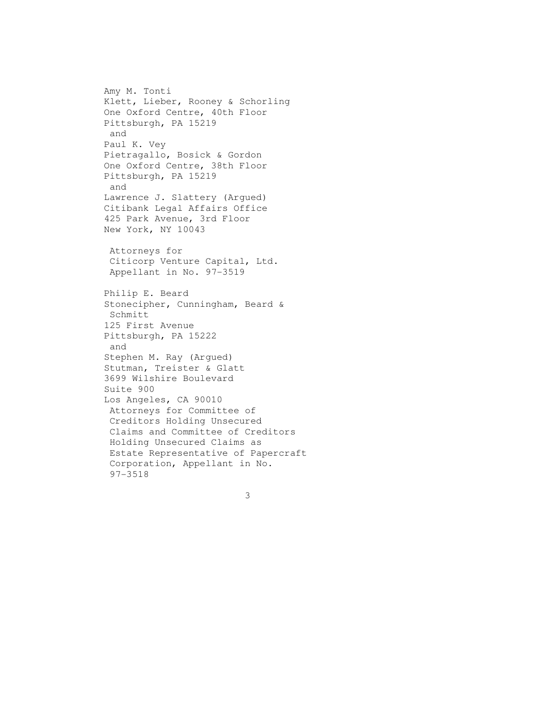Amy M. Tonti Klett, Lieber, Rooney & Schorling One Oxford Centre, 40th Floor Pittsburgh, PA 15219 and Paul K. Vey Pietragallo, Bosick & Gordon One Oxford Centre, 38th Floor Pittsburgh, PA 15219 and Lawrence J. Slattery (Argued) Citibank Legal Affairs Office 425 Park Avenue, 3rd Floor New York, NY 10043 Attorneys for Citicorp Venture Capital, Ltd. Appellant in No. 97-3519 Philip E. Beard Stonecipher, Cunningham, Beard & Schmitt 125 First Avenue Pittsburgh, PA 15222 and Stephen M. Ray (Argued) Stutman, Treister & Glatt 3699 Wilshire Boulevard Suite 900 Los Angeles, CA 90010 Attorneys for Committee of Creditors Holding Unsecured Claims and Committee of Creditors Holding Unsecured Claims as Estate Representative of Papercraft Corporation, Appellant in No. 97-3518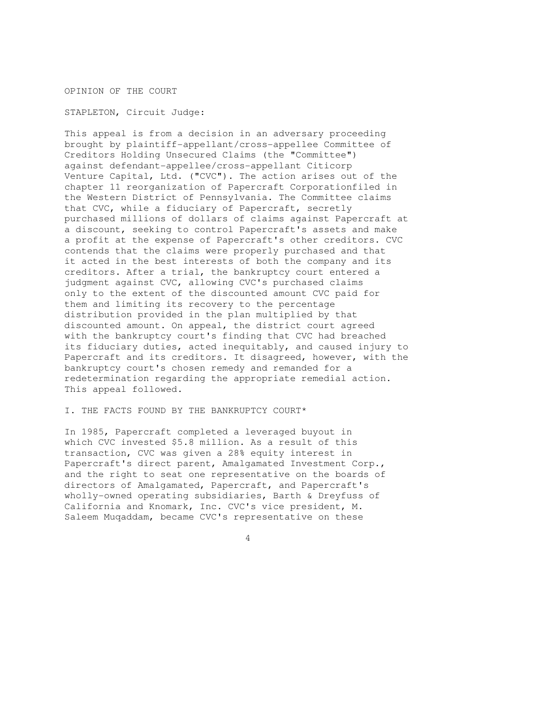OPINION OF THE COURT

STAPLETON, Circuit Judge:

This appeal is from a decision in an adversary proceeding brought by plaintiff-appellant/cross-appellee Committee of Creditors Holding Unsecured Claims (the "Committee") against defendant-appellee/cross-appellant Citicorp Venture Capital, Ltd. ("CVC"). The action arises out of the chapter 11 reorganization of Papercraft Corporationfiled in the Western District of Pennsylvania. The Committee claims that CVC, while a fiduciary of Papercraft, secretly purchased millions of dollars of claims against Papercraft at a discount, seeking to control Papercraft's assets and make a profit at the expense of Papercraft's other creditors. CVC contends that the claims were properly purchased and that it acted in the best interests of both the company and its creditors. After a trial, the bankruptcy court entered a judgment against CVC, allowing CVC's purchased claims only to the extent of the discounted amount CVC paid for them and limiting its recovery to the percentage distribution provided in the plan multiplied by that discounted amount. On appeal, the district court agreed with the bankruptcy court's finding that CVC had breached its fiduciary duties, acted inequitably, and caused injury to Papercraft and its creditors. It disagreed, however, with the bankruptcy court's chosen remedy and remanded for a redetermination regarding the appropriate remedial action. This appeal followed.

## I. THE FACTS FOUND BY THE BANKRUPTCY COURT\*

In 1985, Papercraft completed a leveraged buyout in which CVC invested \$5.8 million. As a result of this transaction, CVC was given a 28% equity interest in Papercraft's direct parent, Amalgamated Investment Corp., and the right to seat one representative on the boards of directors of Amalgamated, Papercraft, and Papercraft's wholly-owned operating subsidiaries, Barth & Dreyfuss of California and Knomark, Inc. CVC's vice president, M. Saleem Muqaddam, became CVC's representative on these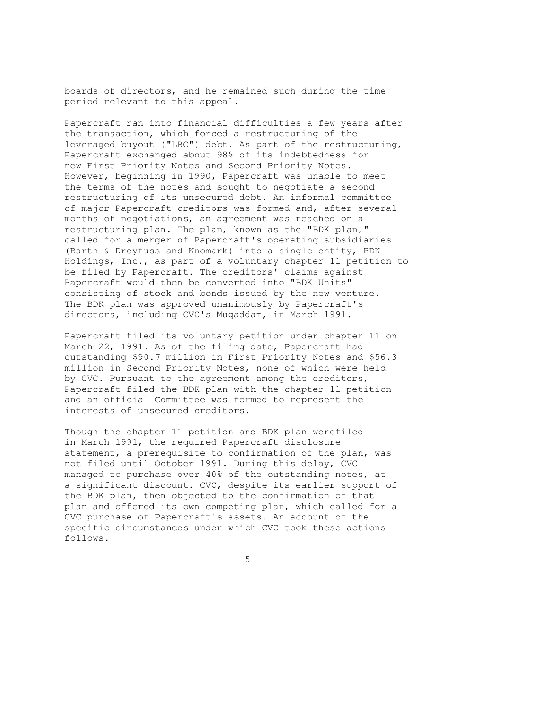boards of directors, and he remained such during the time period relevant to this appeal.

Papercraft ran into financial difficulties a few years after the transaction, which forced a restructuring of the leveraged buyout ("LBO") debt. As part of the restructuring, Papercraft exchanged about 98% of its indebtedness for new First Priority Notes and Second Priority Notes. However, beginning in 1990, Papercraft was unable to meet the terms of the notes and sought to negotiate a second restructuring of its unsecured debt. An informal committee of major Papercraft creditors was formed and, after several months of negotiations, an agreement was reached on a restructuring plan. The plan, known as the "BDK plan," called for a merger of Papercraft's operating subsidiaries (Barth & Dreyfuss and Knomark) into a single entity, BDK Holdings, Inc., as part of a voluntary chapter 11 petition to be filed by Papercraft. The creditors' claims against Papercraft would then be converted into "BDK Units" consisting of stock and bonds issued by the new venture. The BDK plan was approved unanimously by Papercraft's directors, including CVC's Muqaddam, in March 1991.

Papercraft filed its voluntary petition under chapter 11 on March 22, 1991. As of the filing date, Papercraft had outstanding \$90.7 million in First Priority Notes and \$56.3 million in Second Priority Notes, none of which were held by CVC. Pursuant to the agreement among the creditors, Papercraft filed the BDK plan with the chapter 11 petition and an official Committee was formed to represent the interests of unsecured creditors.

Though the chapter 11 petition and BDK plan werefiled in March 1991, the required Papercraft disclosure statement, a prerequisite to confirmation of the plan, was not filed until October 1991. During this delay, CVC managed to purchase over 40% of the outstanding notes, at a significant discount. CVC, despite its earlier support of the BDK plan, then objected to the confirmation of that plan and offered its own competing plan, which called for a CVC purchase of Papercraft's assets. An account of the specific circumstances under which CVC took these actions follows.

 $\sim$  5  $\sim$  5  $\sim$  5  $\sim$  5  $\sim$  5  $\sim$  5  $\sim$  5  $\sim$  5  $\sim$  5  $\sim$  5  $\sim$  5  $\sim$  5  $\sim$  5  $\sim$  5  $\sim$  5  $\sim$  5  $\sim$  5  $\sim$  5  $\sim$  5  $\sim$  5  $\sim$  5  $\sim$  5  $\sim$  5  $\sim$  5  $\sim$  5  $\sim$  5  $\sim$  5  $\sim$  5  $\sim$  5  $\sim$  5  $\sim$  5  $\sim$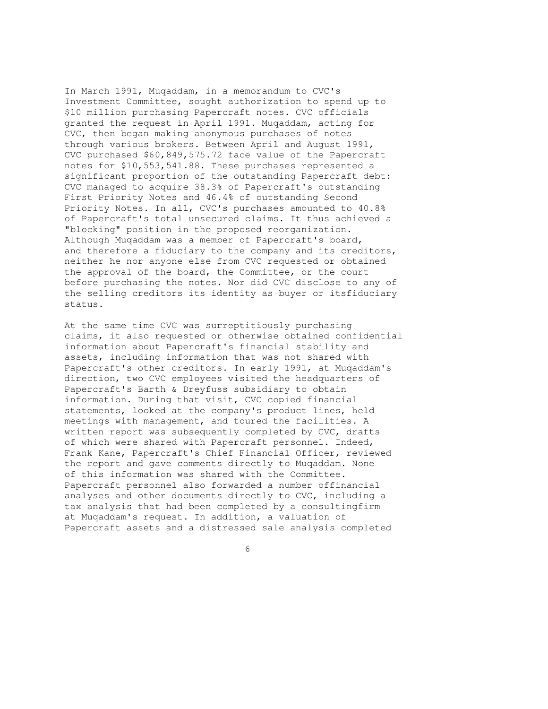In March 1991, Muqaddam, in a memorandum to CVC's Investment Committee, sought authorization to spend up to \$10 million purchasing Papercraft notes. CVC officials granted the request in April 1991. Muqaddam, acting for CVC, then began making anonymous purchases of notes through various brokers. Between April and August 1991, CVC purchased \$60,849,575.72 face value of the Papercraft notes for \$10,553,541.88. These purchases represented a significant proportion of the outstanding Papercraft debt: CVC managed to acquire 38.3% of Papercraft's outstanding First Priority Notes and 46.4% of outstanding Second Priority Notes. In all, CVC's purchases amounted to 40.8% of Papercraft's total unsecured claims. It thus achieved a "blocking" position in the proposed reorganization. Although Muqaddam was a member of Papercraft's board, and therefore a fiduciary to the company and its creditors, neither he nor anyone else from CVC requested or obtained the approval of the board, the Committee, or the court before purchasing the notes. Nor did CVC disclose to any of the selling creditors its identity as buyer or itsfiduciary status.

At the same time CVC was surreptitiously purchasing claims, it also requested or otherwise obtained confidential information about Papercraft's financial stability and assets, including information that was not shared with Papercraft's other creditors. In early 1991, at Muqaddam's direction, two CVC employees visited the headquarters of Papercraft's Barth & Dreyfuss subsidiary to obtain information. During that visit, CVC copied financial statements, looked at the company's product lines, held meetings with management, and toured the facilities. A written report was subsequently completed by CVC, drafts of which were shared with Papercraft personnel. Indeed, Frank Kane, Papercraft's Chief Financial Officer, reviewed the report and gave comments directly to Muqaddam. None of this information was shared with the Committee. Papercraft personnel also forwarded a number offinancial analyses and other documents directly to CVC, including a tax analysis that had been completed by a consultingfirm at Muqaddam's request. In addition, a valuation of Papercraft assets and a distressed sale analysis completed

 $\sim$  6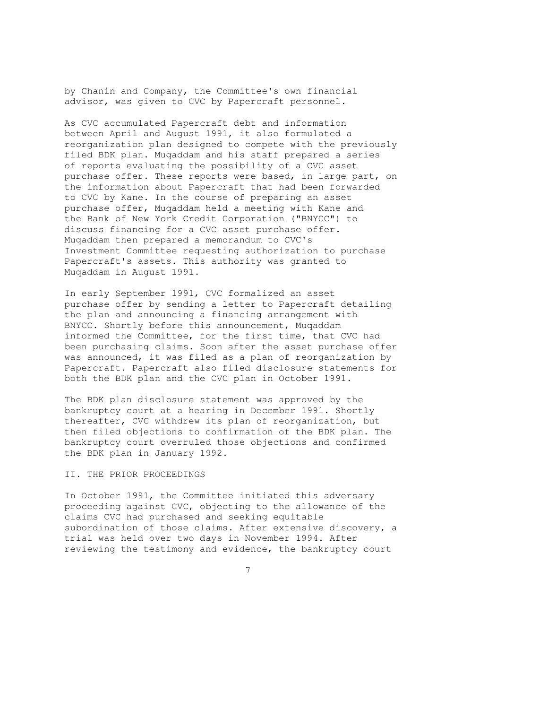by Chanin and Company, the Committee's own financial advisor, was given to CVC by Papercraft personnel.

As CVC accumulated Papercraft debt and information between April and August 1991, it also formulated a reorganization plan designed to compete with the previously filed BDK plan. Muqaddam and his staff prepared a series of reports evaluating the possibility of a CVC asset purchase offer. These reports were based, in large part, on the information about Papercraft that had been forwarded to CVC by Kane. In the course of preparing an asset purchase offer, Muqaddam held a meeting with Kane and the Bank of New York Credit Corporation ("BNYCC") to discuss financing for a CVC asset purchase offer. Muqaddam then prepared a memorandum to CVC's Investment Committee requesting authorization to purchase Papercraft's assets. This authority was granted to Muqaddam in August 1991.

In early September 1991, CVC formalized an asset purchase offer by sending a letter to Papercraft detailing the plan and announcing a financing arrangement with BNYCC. Shortly before this announcement, Muqaddam informed the Committee, for the first time, that CVC had been purchasing claims. Soon after the asset purchase offer was announced, it was filed as a plan of reorganization by Papercraft. Papercraft also filed disclosure statements for both the BDK plan and the CVC plan in October 1991.

The BDK plan disclosure statement was approved by the bankruptcy court at a hearing in December 1991. Shortly thereafter, CVC withdrew its plan of reorganization, but then filed objections to confirmation of the BDK plan. The bankruptcy court overruled those objections and confirmed the BDK plan in January 1992.

#### II. THE PRIOR PROCEEDINGS

In October 1991, the Committee initiated this adversary proceeding against CVC, objecting to the allowance of the claims CVC had purchased and seeking equitable subordination of those claims. After extensive discovery, a trial was held over two days in November 1994. After reviewing the testimony and evidence, the bankruptcy court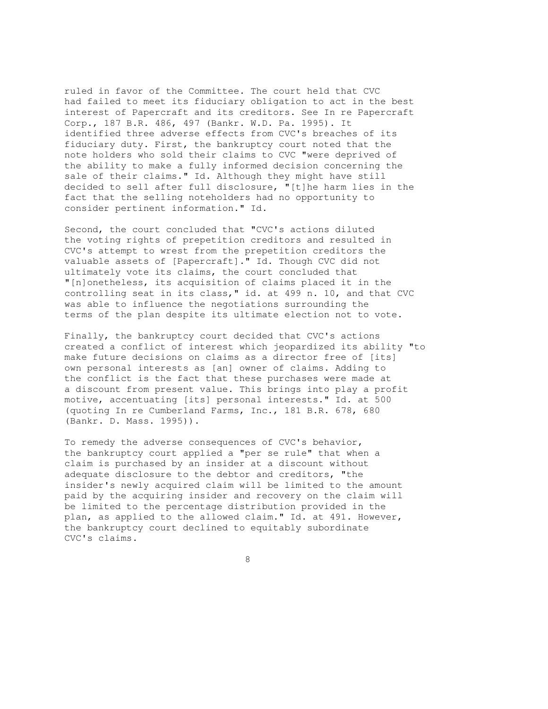ruled in favor of the Committee. The court held that CVC had failed to meet its fiduciary obligation to act in the best interest of Papercraft and its creditors. See In re Papercraft Corp., 187 B.R. 486, 497 (Bankr. W.D. Pa. 1995). It identified three adverse effects from CVC's breaches of its fiduciary duty. First, the bankruptcy court noted that the note holders who sold their claims to CVC "were deprived of the ability to make a fully informed decision concerning the sale of their claims." Id. Although they might have still decided to sell after full disclosure, "[t]he harm lies in the fact that the selling noteholders had no opportunity to consider pertinent information." Id.

Second, the court concluded that "CVC's actions diluted the voting rights of prepetition creditors and resulted in CVC's attempt to wrest from the prepetition creditors the valuable assets of [Papercraft]." Id. Though CVC did not ultimately vote its claims, the court concluded that "[n]onetheless, its acquisition of claims placed it in the controlling seat in its class," id. at 499 n. 10, and that CVC was able to influence the negotiations surrounding the terms of the plan despite its ultimate election not to vote.

Finally, the bankruptcy court decided that CVC's actions created a conflict of interest which jeopardized its ability "to make future decisions on claims as a director free of [its] own personal interests as [an] owner of claims. Adding to the conflict is the fact that these purchases were made at a discount from present value. This brings into play a profit motive, accentuating [its] personal interests." Id. at 500 (quoting In re Cumberland Farms, Inc., 181 B.R. 678, 680 (Bankr. D. Mass. 1995)).

To remedy the adverse consequences of CVC's behavior, the bankruptcy court applied a "per se rule" that when a claim is purchased by an insider at a discount without adequate disclosure to the debtor and creditors, "the insider's newly acquired claim will be limited to the amount paid by the acquiring insider and recovery on the claim will be limited to the percentage distribution provided in the plan, as applied to the allowed claim." Id. at 491. However, the bankruptcy court declined to equitably subordinate CVC's claims.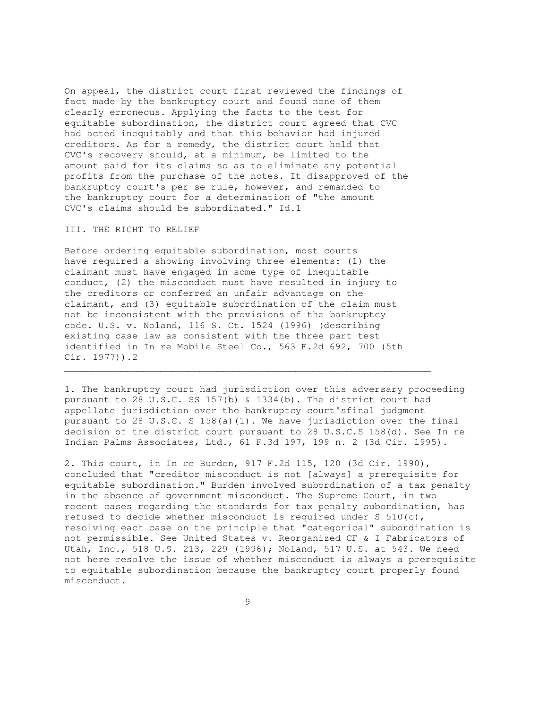On appeal, the district court first reviewed the findings of fact made by the bankruptcy court and found none of them clearly erroneous. Applying the facts to the test for equitable subordination, the district court agreed that CVC had acted inequitably and that this behavior had injured creditors. As for a remedy, the district court held that CVC's recovery should, at a minimum, be limited to the amount paid for its claims so as to eliminate any potential profits from the purchase of the notes. It disapproved of the bankruptcy court's per se rule, however, and remanded to the bankruptcy court for a determination of "the amount CVC's claims should be subordinated." Id.1

#### III. THE RIGHT TO RELIEF

Before ordering equitable subordination, most courts have required a showing involving three elements: (1) the claimant must have engaged in some type of inequitable conduct, (2) the misconduct must have resulted in injury to the creditors or conferred an unfair advantage on the claimant, and (3) equitable subordination of the claim must not be inconsistent with the provisions of the bankruptcy code. U.S. v. Noland, 116 S. Ct. 1524 (1996) (describing existing case law as consistent with the three part test identified in In re Mobile Steel Co., 563 F.2d 692, 700 (5th Cir. 1977)).2

1. The bankruptcy court had jurisdiction over this adversary proceeding pursuant to 28 U.S.C. SS 157(b) & 1334(b). The district court had appellate jurisdiction over the bankruptcy court'sfinal judgment pursuant to 28 U.S.C. S 158(a)(1). We have jurisdiction over the final decision of the district court pursuant to 28 U.S.C.S 158(d). See In re Indian Palms Associates, Ltd., 61 F.3d 197, 199 n. 2 (3d Cir. 1995).

\_\_\_\_\_\_\_\_\_\_\_\_\_\_\_\_\_\_\_\_\_\_\_\_\_\_\_\_\_\_\_\_\_\_\_\_\_\_\_\_\_\_\_\_\_\_\_\_\_\_\_\_\_\_\_\_\_\_\_\_\_\_\_\_\_

2. This court, in In re Burden, 917 F.2d 115, 120 (3d Cir. 1990), concluded that "creditor misconduct is not [always] a prerequisite for equitable subordination." Burden involved subordination of a tax penalty in the absence of government misconduct. The Supreme Court, in two recent cases regarding the standards for tax penalty subordination, has refused to decide whether misconduct is required under S  $510(c)$ , resolving each case on the principle that "categorical" subordination is not permissible. See United States v. Reorganized CF & I Fabricators of Utah, Inc., 518 U.S. 213, 229 (1996); Noland, 517 U.S. at 543. We need not here resolve the issue of whether misconduct is always a prerequisite to equitable subordination because the bankruptcy court properly found misconduct.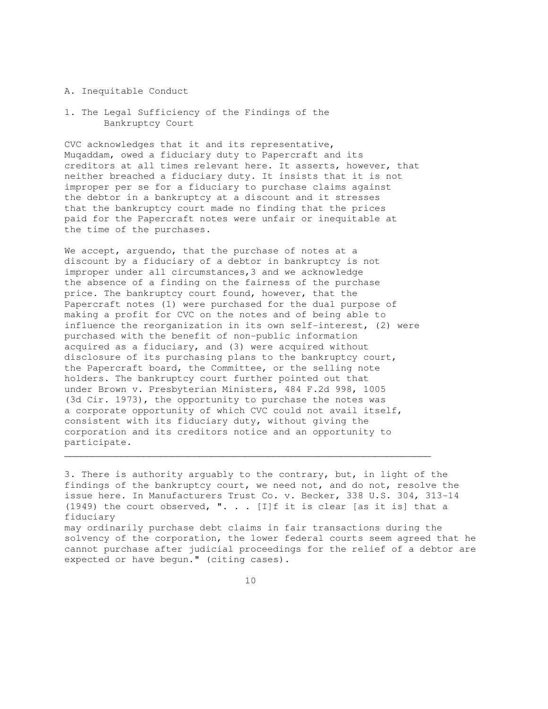#### A. Inequitable Conduct

1. The Legal Sufficiency of the Findings of the Bankruptcy Court

CVC acknowledges that it and its representative, Muqaddam, owed a fiduciary duty to Papercraft and its creditors at all times relevant here. It asserts, however, that neither breached a fiduciary duty. It insists that it is not improper per se for a fiduciary to purchase claims against the debtor in a bankruptcy at a discount and it stresses that the bankruptcy court made no finding that the prices paid for the Papercraft notes were unfair or inequitable at the time of the purchases.

We accept, arguendo, that the purchase of notes at a discount by a fiduciary of a debtor in bankruptcy is not improper under all circumstances,3 and we acknowledge the absence of a finding on the fairness of the purchase price. The bankruptcy court found, however, that the Papercraft notes (1) were purchased for the dual purpose of making a profit for CVC on the notes and of being able to influence the reorganization in its own self-interest, (2) were purchased with the benefit of non-public information acquired as a fiduciary, and (3) were acquired without disclosure of its purchasing plans to the bankruptcy court, the Papercraft board, the Committee, or the selling note holders. The bankruptcy court further pointed out that under Brown v. Presbyterian Ministers, 484 F.2d 998, 1005 (3d Cir. 1973), the opportunity to purchase the notes was a corporate opportunity of which CVC could not avail itself, consistent with its fiduciary duty, without giving the corporation and its creditors notice and an opportunity to participate.

3. There is authority arguably to the contrary, but, in light of the findings of the bankruptcy court, we need not, and do not, resolve the issue here. In Manufacturers Trust Co. v. Becker, 338 U.S. 304, 313-14 (1949) the court observed, ". . . [I]f it is clear [as it is] that a fiduciary may ordinarily purchase debt claims in fair transactions during the solvency of the corporation, the lower federal courts seem agreed that he cannot purchase after judicial proceedings for the relief of a debtor are expected or have begun." (citing cases).

 $\mathcal{L}_\mathcal{L} = \{ \mathcal{L}_\mathcal{L} = \{ \mathcal{L}_\mathcal{L} = \{ \mathcal{L}_\mathcal{L} = \{ \mathcal{L}_\mathcal{L} = \{ \mathcal{L}_\mathcal{L} = \{ \mathcal{L}_\mathcal{L} = \{ \mathcal{L}_\mathcal{L} = \{ \mathcal{L}_\mathcal{L} = \{ \mathcal{L}_\mathcal{L} = \{ \mathcal{L}_\mathcal{L} = \{ \mathcal{L}_\mathcal{L} = \{ \mathcal{L}_\mathcal{L} = \{ \mathcal{L}_\mathcal{L} = \{ \mathcal{L}_\mathcal{$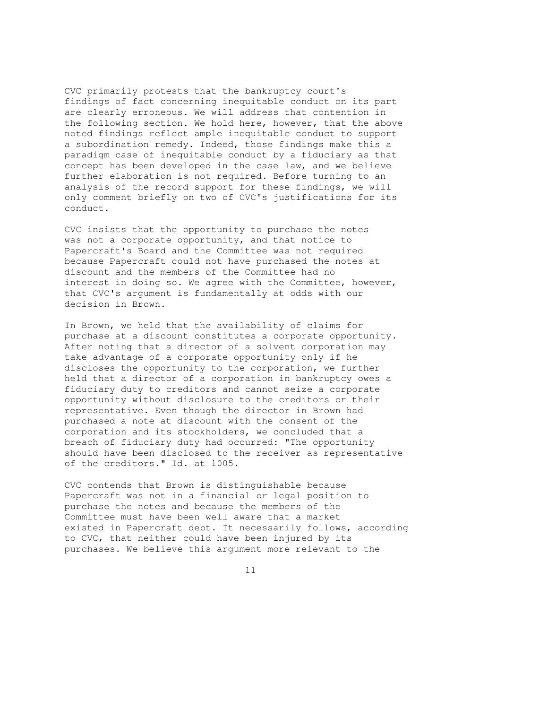CVC primarily protests that the bankruptcy court's findings of fact concerning inequitable conduct on its part are clearly erroneous. We will address that contention in the following section. We hold here, however, that the above noted findings reflect ample inequitable conduct to support a subordination remedy. Indeed, those findings make this a paradigm case of inequitable conduct by a fiduciary as that concept has been developed in the case law, and we believe further elaboration is not required. Before turning to an analysis of the record support for these findings, we will only comment briefly on two of CVC's justifications for its conduct.

CVC insists that the opportunity to purchase the notes was not a corporate opportunity, and that notice to Papercraft's Board and the Committee was not required because Papercraft could not have purchased the notes at discount and the members of the Committee had no interest in doing so. We agree with the Committee, however, that CVC's argument is fundamentally at odds with our decision in Brown.

In Brown, we held that the availability of claims for purchase at a discount constitutes a corporate opportunity. After noting that a director of a solvent corporation may take advantage of a corporate opportunity only if he discloses the opportunity to the corporation, we further held that a director of a corporation in bankruptcy owes a fiduciary duty to creditors and cannot seize a corporate opportunity without disclosure to the creditors or their representative. Even though the director in Brown had purchased a note at discount with the consent of the corporation and its stockholders, we concluded that a breach of fiduciary duty had occurred: "The opportunity should have been disclosed to the receiver as representative of the creditors." Id. at 1005.

CVC contends that Brown is distinguishable because Papercraft was not in a financial or legal position to purchase the notes and because the members of the Committee must have been well aware that a market existed in Papercraft debt. It necessarily follows, according to CVC, that neither could have been injured by its purchases. We believe this argument more relevant to the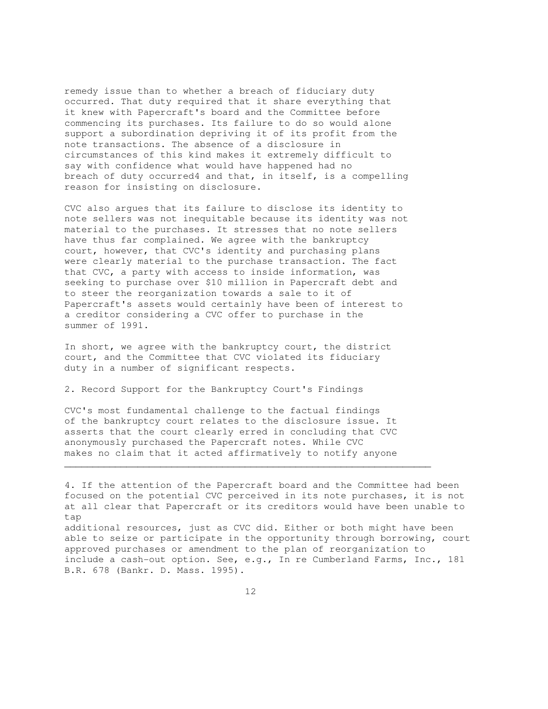remedy issue than to whether a breach of fiduciary duty occurred. That duty required that it share everything that it knew with Papercraft's board and the Committee before commencing its purchases. Its failure to do so would alone support a subordination depriving it of its profit from the note transactions. The absence of a disclosure in circumstances of this kind makes it extremely difficult to say with confidence what would have happened had no breach of duty occurred4 and that, in itself, is a compelling reason for insisting on disclosure.

CVC also argues that its failure to disclose its identity to note sellers was not inequitable because its identity was not material to the purchases. It stresses that no note sellers have thus far complained. We agree with the bankruptcy court, however, that CVC's identity and purchasing plans were clearly material to the purchase transaction. The fact that CVC, a party with access to inside information, was seeking to purchase over \$10 million in Papercraft debt and to steer the reorganization towards a sale to it of Papercraft's assets would certainly have been of interest to a creditor considering a CVC offer to purchase in the summer of 1991.

In short, we agree with the bankruptcy court, the district court, and the Committee that CVC violated its fiduciary duty in a number of significant respects.

2. Record Support for the Bankruptcy Court's Findings

CVC's most fundamental challenge to the factual findings of the bankruptcy court relates to the disclosure issue. It asserts that the court clearly erred in concluding that CVC anonymously purchased the Papercraft notes. While CVC makes no claim that it acted affirmatively to notify anyone

4. If the attention of the Papercraft board and the Committee had been focused on the potential CVC perceived in its note purchases, it is not at all clear that Papercraft or its creditors would have been unable to tap additional resources, just as CVC did. Either or both might have been

 $\mathcal{L}_\mathcal{L}$  , and the set of the set of the set of the set of the set of the set of the set of the set of the set of the set of the set of the set of the set of the set of the set of the set of the set of the set of th

able to seize or participate in the opportunity through borrowing, court approved purchases or amendment to the plan of reorganization to include a cash-out option. See, e.g., In re Cumberland Farms, Inc., 181 B.R. 678 (Bankr. D. Mass. 1995).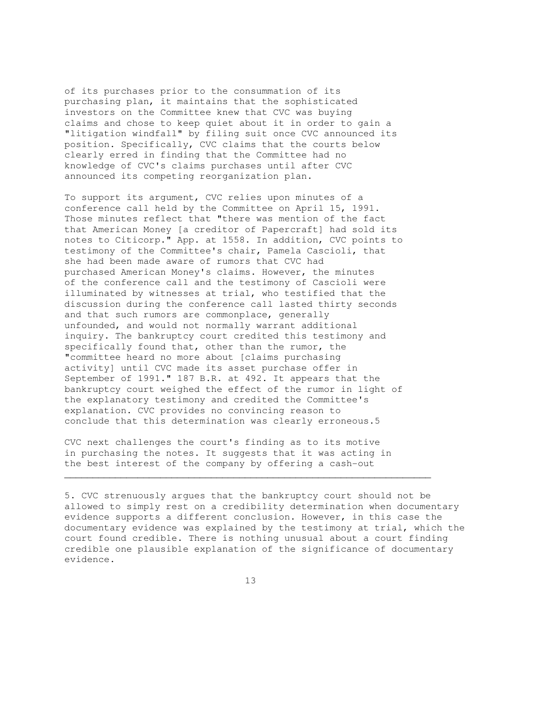of its purchases prior to the consummation of its purchasing plan, it maintains that the sophisticated investors on the Committee knew that CVC was buying claims and chose to keep quiet about it in order to gain a "litigation windfall" by filing suit once CVC announced its position. Specifically, CVC claims that the courts below clearly erred in finding that the Committee had no knowledge of CVC's claims purchases until after CVC announced its competing reorganization plan.

To support its argument, CVC relies upon minutes of a conference call held by the Committee on April 15, 1991. Those minutes reflect that "there was mention of the fact that American Money [a creditor of Papercraft] had sold its notes to Citicorp." App. at 1558. In addition, CVC points to testimony of the Committee's chair, Pamela Cascioli, that she had been made aware of rumors that CVC had purchased American Money's claims. However, the minutes of the conference call and the testimony of Cascioli were illuminated by witnesses at trial, who testified that the discussion during the conference call lasted thirty seconds and that such rumors are commonplace, generally unfounded, and would not normally warrant additional inquiry. The bankruptcy court credited this testimony and specifically found that, other than the rumor, the "committee heard no more about [claims purchasing activity] until CVC made its asset purchase offer in September of 1991." 187 B.R. at 492. It appears that the bankruptcy court weighed the effect of the rumor in light of the explanatory testimony and credited the Committee's explanation. CVC provides no convincing reason to conclude that this determination was clearly erroneous.5

CVC next challenges the court's finding as to its motive in purchasing the notes. It suggests that it was acting in the best interest of the company by offering a cash-out

5. CVC strenuously argues that the bankruptcy court should not be allowed to simply rest on a credibility determination when documentary evidence supports a different conclusion. However, in this case the documentary evidence was explained by the testimony at trial, which the court found credible. There is nothing unusual about a court finding credible one plausible explanation of the significance of documentary evidence.

 $\mathcal{L}_\mathcal{L}$  , and the set of the set of the set of the set of the set of the set of the set of the set of the set of the set of the set of the set of the set of the set of the set of the set of the set of the set of th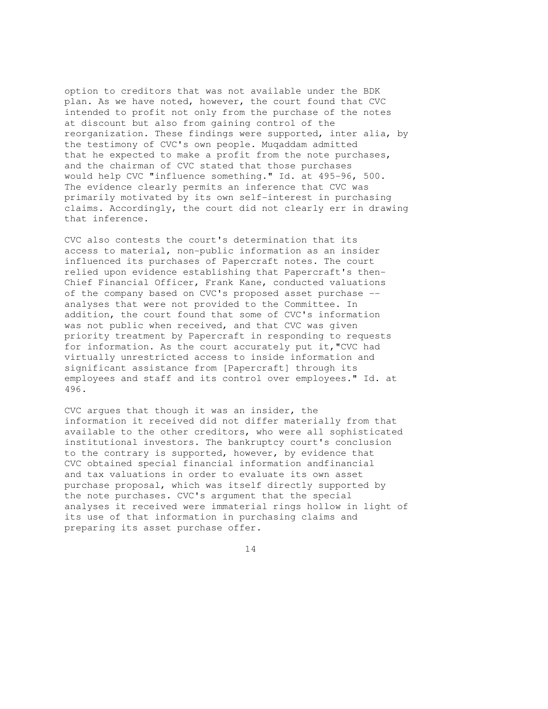option to creditors that was not available under the BDK plan. As we have noted, however, the court found that CVC intended to profit not only from the purchase of the notes at discount but also from gaining control of the reorganization. These findings were supported, inter alia, by the testimony of CVC's own people. Muqaddam admitted that he expected to make a profit from the note purchases, and the chairman of CVC stated that those purchases would help CVC "influence something." Id. at 495-96, 500. The evidence clearly permits an inference that CVC was primarily motivated by its own self-interest in purchasing claims. Accordingly, the court did not clearly err in drawing that inference.

CVC also contests the court's determination that its access to material, non-public information as an insider influenced its purchases of Papercraft notes. The court relied upon evidence establishing that Papercraft's then-Chief Financial Officer, Frank Kane, conducted valuations of the company based on CVC's proposed asset purchase - analyses that were not provided to the Committee. In addition, the court found that some of CVC's information was not public when received, and that CVC was given priority treatment by Papercraft in responding to requests for information. As the court accurately put it,"CVC had virtually unrestricted access to inside information and significant assistance from [Papercraft] through its employees and staff and its control over employees." Id. at 496.

CVC argues that though it was an insider, the information it received did not differ materially from that available to the other creditors, who were all sophisticated institutional investors. The bankruptcy court's conclusion to the contrary is supported, however, by evidence that CVC obtained special financial information andfinancial and tax valuations in order to evaluate its own asset purchase proposal, which was itself directly supported by the note purchases. CVC's argument that the special analyses it received were immaterial rings hollow in light of its use of that information in purchasing claims and preparing its asset purchase offer.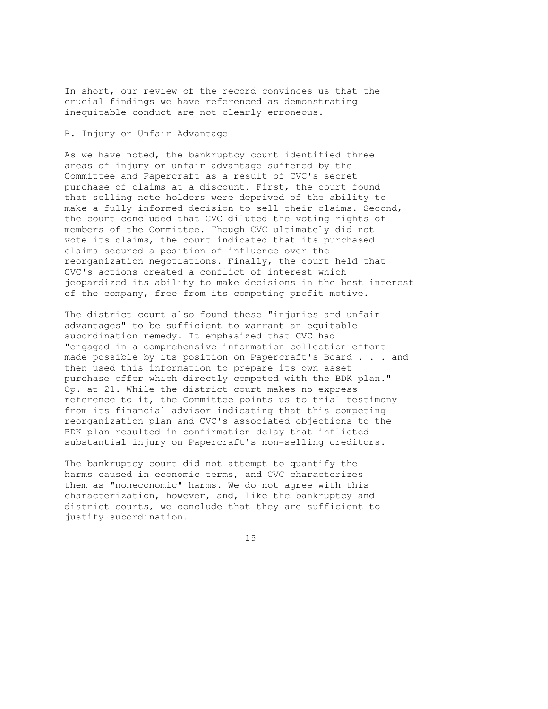In short, our review of the record convinces us that the crucial findings we have referenced as demonstrating inequitable conduct are not clearly erroneous.

## B. Injury or Unfair Advantage

As we have noted, the bankruptcy court identified three areas of injury or unfair advantage suffered by the Committee and Papercraft as a result of CVC's secret purchase of claims at a discount. First, the court found that selling note holders were deprived of the ability to make a fully informed decision to sell their claims. Second, the court concluded that CVC diluted the voting rights of members of the Committee. Though CVC ultimately did not vote its claims, the court indicated that its purchased claims secured a position of influence over the reorganization negotiations. Finally, the court held that CVC's actions created a conflict of interest which jeopardized its ability to make decisions in the best interest of the company, free from its competing profit motive.

The district court also found these "injuries and unfair advantages" to be sufficient to warrant an equitable subordination remedy. It emphasized that CVC had "engaged in a comprehensive information collection effort made possible by its position on Papercraft's Board . . . and then used this information to prepare its own asset purchase offer which directly competed with the BDK plan." Op. at 21. While the district court makes no express reference to it, the Committee points us to trial testimony from its financial advisor indicating that this competing reorganization plan and CVC's associated objections to the BDK plan resulted in confirmation delay that inflicted substantial injury on Papercraft's non-selling creditors.

The bankruptcy court did not attempt to quantify the harms caused in economic terms, and CVC characterizes them as "noneconomic" harms. We do not agree with this characterization, however, and, like the bankruptcy and district courts, we conclude that they are sufficient to justify subordination.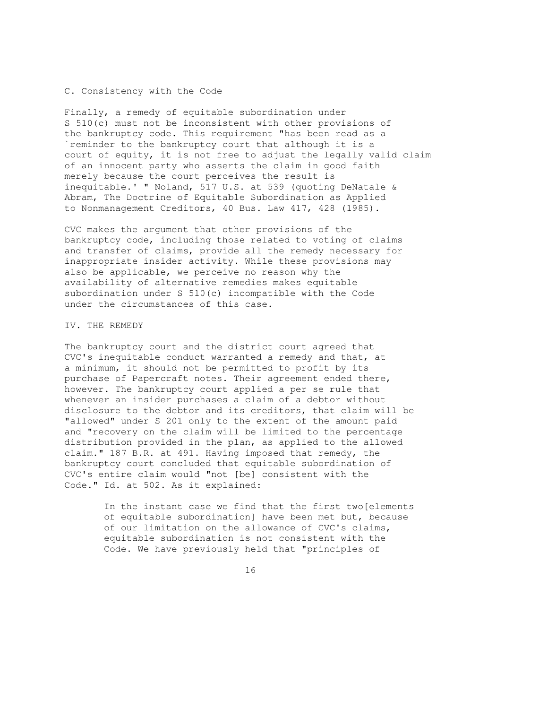#### C. Consistency with the Code

Finally, a remedy of equitable subordination under S 510(c) must not be inconsistent with other provisions of the bankruptcy code. This requirement "has been read as a `reminder to the bankruptcy court that although it is a court of equity, it is not free to adjust the legally valid claim of an innocent party who asserts the claim in good faith merely because the court perceives the result is inequitable.' " Noland, 517 U.S. at 539 (quoting DeNatale & Abram, The Doctrine of Equitable Subordination as Applied to Nonmanagement Creditors, 40 Bus. Law 417, 428 (1985).

CVC makes the argument that other provisions of the bankruptcy code, including those related to voting of claims and transfer of claims, provide all the remedy necessary for inappropriate insider activity. While these provisions may also be applicable, we perceive no reason why the availability of alternative remedies makes equitable subordination under S 510(c) incompatible with the Code under the circumstances of this case.

## IV. THE REMEDY

The bankruptcy court and the district court agreed that CVC's inequitable conduct warranted a remedy and that, at a minimum, it should not be permitted to profit by its purchase of Papercraft notes. Their agreement ended there, however. The bankruptcy court applied a per se rule that whenever an insider purchases a claim of a debtor without disclosure to the debtor and its creditors, that claim will be "allowed" under S 201 only to the extent of the amount paid and "recovery on the claim will be limited to the percentage distribution provided in the plan, as applied to the allowed claim." 187 B.R. at 491. Having imposed that remedy, the bankruptcy court concluded that equitable subordination of CVC's entire claim would "not [be] consistent with the Code." Id. at 502. As it explained:

> In the instant case we find that the first two[elements of equitable subordination] have been met but, because of our limitation on the allowance of CVC's claims, equitable subordination is not consistent with the Code. We have previously held that "principles of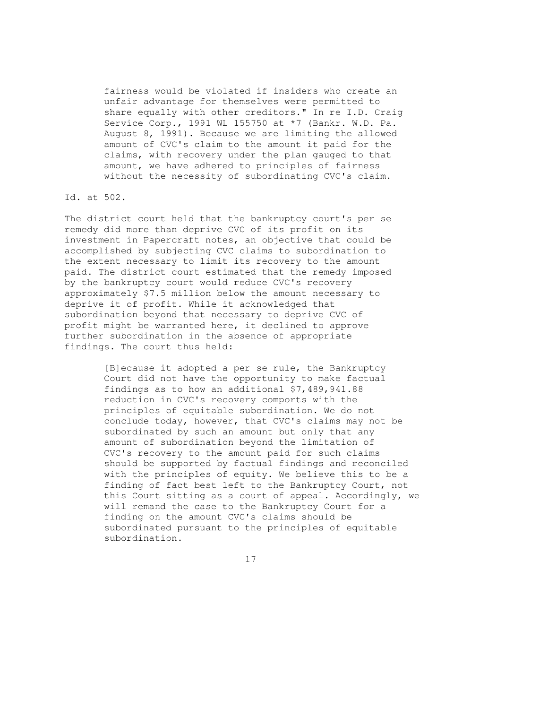fairness would be violated if insiders who create an unfair advantage for themselves were permitted to share equally with other creditors." In re I.D. Craig Service Corp., 1991 WL 155750 at \*7 (Bankr. W.D. Pa. August 8, 1991). Because we are limiting the allowed amount of CVC's claim to the amount it paid for the claims, with recovery under the plan gauged to that amount, we have adhered to principles of fairness without the necessity of subordinating CVC's claim.

## Id. at 502.

The district court held that the bankruptcy court's per se remedy did more than deprive CVC of its profit on its investment in Papercraft notes, an objective that could be accomplished by subjecting CVC claims to subordination to the extent necessary to limit its recovery to the amount paid. The district court estimated that the remedy imposed by the bankruptcy court would reduce CVC's recovery approximately \$7.5 million below the amount necessary to deprive it of profit. While it acknowledged that subordination beyond that necessary to deprive CVC of profit might be warranted here, it declined to approve further subordination in the absence of appropriate findings. The court thus held:

> [B]ecause it adopted a per se rule, the Bankruptcy Court did not have the opportunity to make factual findings as to how an additional \$7,489,941.88 reduction in CVC's recovery comports with the principles of equitable subordination. We do not conclude today, however, that CVC's claims may not be subordinated by such an amount but only that any amount of subordination beyond the limitation of CVC's recovery to the amount paid for such claims should be supported by factual findings and reconciled with the principles of equity. We believe this to be a finding of fact best left to the Bankruptcy Court, not this Court sitting as a court of appeal. Accordingly, we will remand the case to the Bankruptcy Court for a finding on the amount CVC's claims should be subordinated pursuant to the principles of equitable subordination.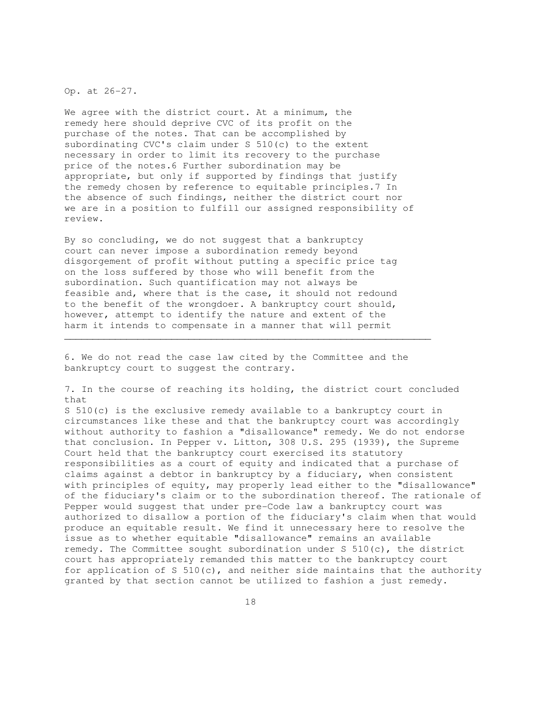Op. at 26-27.

We agree with the district court. At a minimum, the remedy here should deprive CVC of its profit on the purchase of the notes. That can be accomplished by subordinating CVC's claim under S 510(c) to the extent necessary in order to limit its recovery to the purchase price of the notes.6 Further subordination may be appropriate, but only if supported by findings that justify the remedy chosen by reference to equitable principles.7 In the absence of such findings, neither the district court nor we are in a position to fulfill our assigned responsibility of review.

By so concluding, we do not suggest that a bankruptcy court can never impose a subordination remedy beyond disgorgement of profit without putting a specific price tag on the loss suffered by those who will benefit from the subordination. Such quantification may not always be feasible and, where that is the case, it should not redound to the benefit of the wrongdoer. A bankruptcy court should, however, attempt to identify the nature and extent of the harm it intends to compensate in a manner that will permit

6. We do not read the case law cited by the Committee and the bankruptcy court to suggest the contrary.

\_\_\_\_\_\_\_\_\_\_\_\_\_\_\_\_\_\_\_\_\_\_\_\_\_\_\_\_\_\_\_\_\_\_\_\_\_\_\_\_\_\_\_\_\_\_\_\_\_\_\_\_\_\_\_\_\_\_\_\_\_\_\_\_\_

7. In the course of reaching its holding, the district court concluded that

S 510(c) is the exclusive remedy available to a bankruptcy court in circumstances like these and that the bankruptcy court was accordingly without authority to fashion a "disallowance" remedy. We do not endorse that conclusion. In Pepper v. Litton, 308 U.S. 295 (1939), the Supreme Court held that the bankruptcy court exercised its statutory responsibilities as a court of equity and indicated that a purchase of claims against a debtor in bankruptcy by a fiduciary, when consistent with principles of equity, may properly lead either to the "disallowance" of the fiduciary's claim or to the subordination thereof. The rationale of Pepper would suggest that under pre-Code law a bankruptcy court was authorized to disallow a portion of the fiduciary's claim when that would produce an equitable result. We find it unnecessary here to resolve the issue as to whether equitable "disallowance" remains an available remedy. The Committee sought subordination under S 510(c), the district court has appropriately remanded this matter to the bankruptcy court for application of S  $510(c)$ , and neither side maintains that the authority granted by that section cannot be utilized to fashion a just remedy.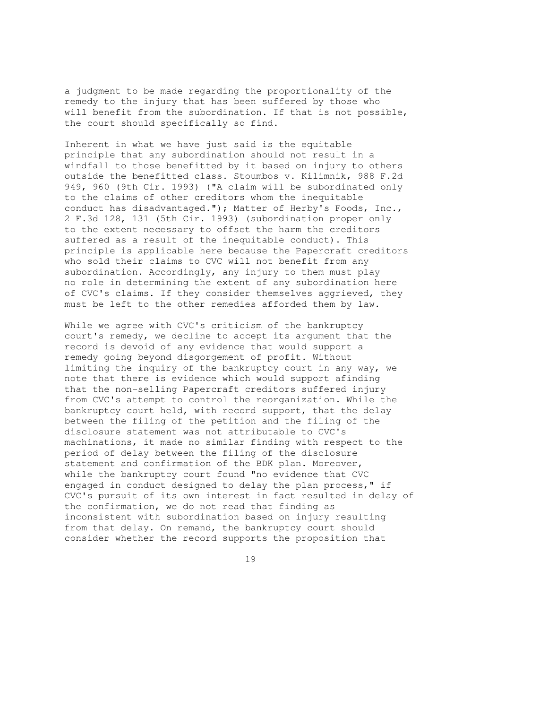a judgment to be made regarding the proportionality of the remedy to the injury that has been suffered by those who will benefit from the subordination. If that is not possible, the court should specifically so find.

Inherent in what we have just said is the equitable principle that any subordination should not result in a windfall to those benefitted by it based on injury to others outside the benefitted class. Stoumbos v. Kilimnik, 988 F.2d 949, 960 (9th Cir. 1993) ("A claim will be subordinated only to the claims of other creditors whom the inequitable conduct has disadvantaged."); Matter of Herby's Foods, Inc., 2 F.3d 128, 131 (5th Cir. 1993) (subordination proper only to the extent necessary to offset the harm the creditors suffered as a result of the inequitable conduct). This principle is applicable here because the Papercraft creditors who sold their claims to CVC will not benefit from any subordination. Accordingly, any injury to them must play no role in determining the extent of any subordination here of CVC's claims. If they consider themselves aggrieved, they must be left to the other remedies afforded them by law.

While we agree with CVC's criticism of the bankruptcy court's remedy, we decline to accept its argument that the record is devoid of any evidence that would support a remedy going beyond disgorgement of profit. Without limiting the inquiry of the bankruptcy court in any way, we note that there is evidence which would support afinding that the non-selling Papercraft creditors suffered injury from CVC's attempt to control the reorganization. While the bankruptcy court held, with record support, that the delay between the filing of the petition and the filing of the disclosure statement was not attributable to CVC's machinations, it made no similar finding with respect to the period of delay between the filing of the disclosure statement and confirmation of the BDK plan. Moreover, while the bankruptcy court found "no evidence that CVC engaged in conduct designed to delay the plan process," if CVC's pursuit of its own interest in fact resulted in delay of the confirmation, we do not read that finding as inconsistent with subordination based on injury resulting from that delay. On remand, the bankruptcy court should consider whether the record supports the proposition that